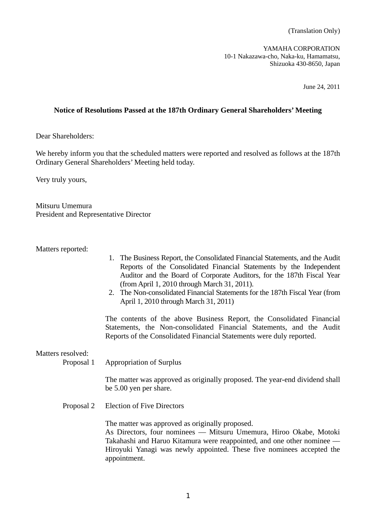(Translation Only)

YAMAHA CORPORATION 10-1 Nakazawa-cho, Naka-ku, Hamamatsu, Shizuoka 430-8650, Japan

June 24, 2011

## **Notice of Resolutions Passed at the 187th Ordinary General Shareholders' Meeting**

Dear Shareholders:

We hereby inform you that the scheduled matters were reported and resolved as follows at the 187th Ordinary General Shareholders' Meeting held today.

Very truly yours,

Mitsuru Umemura President and Representative Director

Matters reported:

- 1. The Business Report, the Consolidated Financial Statements, and the Audit Reports of the Consolidated Financial Statements by the Independent Auditor and the Board of Corporate Auditors, for the 187th Fiscal Year (from April 1, 2010 through March 31, 2011).
- 2. The Non-consolidated Financial Statements for the 187th Fiscal Year (from April 1, 2010 through March 31, 2011)

 The contents of the above Business Report, the Consolidated Financial Statements, the Non-consolidated Financial Statements, and the Audit Reports of the Consolidated Financial Statements were duly reported.

Matters resolved:

Proposal 1 Appropriation of Surplus

 The matter was approved as originally proposed. The year-end dividend shall be 5.00 yen per share.

Proposal 2 Election of Five Directors

The matter was approved as originally proposed.

 As Directors, four nominees –– Mitsuru Umemura, Hiroo Okabe, Motoki Takahashi and Haruo Kitamura were reappointed, and one other nominee –– Hiroyuki Yanagi was newly appointed. These five nominees accepted the appointment.